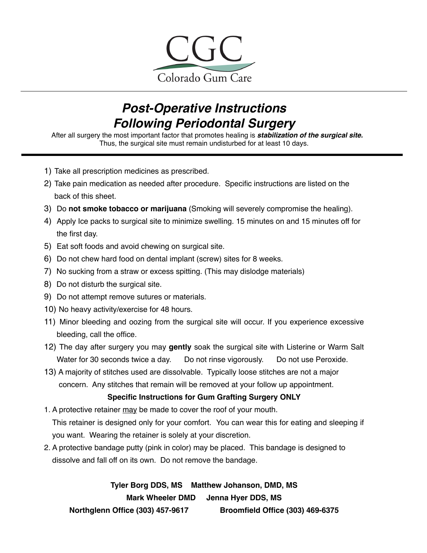

#### *Post-Operative Instructions Following Periodontal Surgery*

After all surgery the most important factor that promotes healing is *stabilization of the surgical site.*  Thus, the surgical site must remain undisturbed for at least 10 days.

- 1) Take all prescription medicines as prescribed.
- 2) Take pain medication as needed after procedure. Specific instructions are listed on the back of this sheet.
- 3) Do **not smoke tobacco or marijuana** (Smoking will severely compromise the healing).
- 4) Apply Ice packs to surgical site to minimize swelling. 15 minutes on and 15 minutes off for the first day.
- 5) Eat soft foods and avoid chewing on surgical site.
- 6) Do not chew hard food on dental implant (screw) sites for 8 weeks.
- 7) No sucking from a straw or excess spitting. (This may dislodge materials)
- 8) Do not disturb the surgical site.
- 9) Do not attempt remove sutures or materials.
- 10) No heavy activity/exercise for 48 hours.
- 11) Minor bleeding and oozing from the surgical site will occur. If you experience excessive bleeding, call the office.
- 12) The day after surgery you may **gently** soak the surgical site with Listerine or Warm Salt Water for 30 seconds twice a day. Do not rinse vigorously. Do not use Peroxide.
- 13) A majority of stitches used are dissolvable. Typically loose stitches are not a major concern. Any stitches that remain will be removed at your follow up appointment.

#### **Specific Instructions for Gum Grafting Surgery ONLY**

- 1. A protective retainer may be made to cover the roof of your mouth. This retainer is designed only for your comfort. You can wear this for eating and sleeping if you want. Wearing the retainer is solely at your discretion.
- 2. A protective bandage putty (pink in color) may be placed. This bandage is designed to dissolve and fall off on its own. Do not remove the bandage.

**Tyler Borg DDS, MS Matthew Johanson, DMD, MS Mark Wheeler DMD Jenna Hyer DDS, MS Northglenn Office (303) 457-9617 Broomfield Office (303) 469-6375**